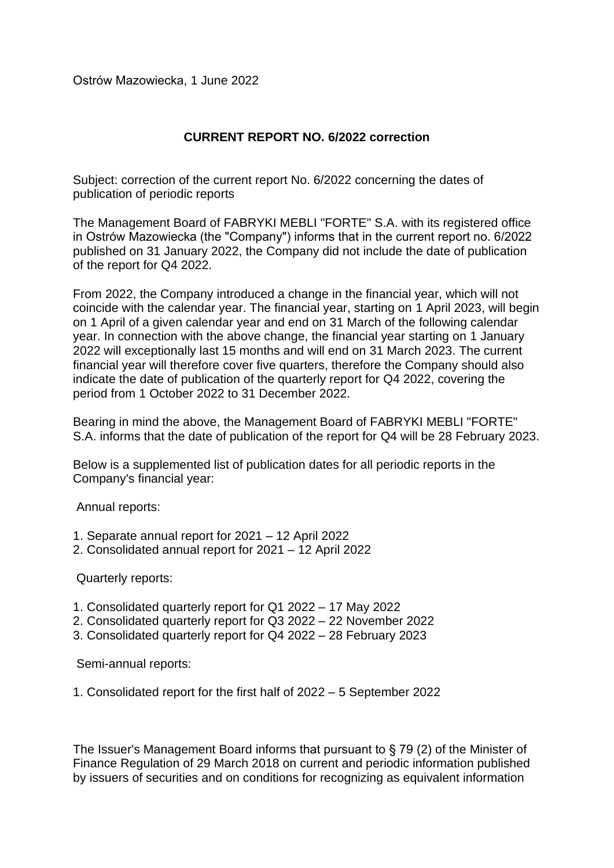Ostrów Mazowiecka, 1 June 2022

## **CURRENT REPORT NO. 6/2022 correction**

Subject: correction of the current report No. 6/2022 concerning the dates of publication of periodic reports

The Management Board of FABRYKI MEBLI "FORTE" S.A. with its registered office in Ostrów Mazowiecka (the "Company") informs that in the current report no. 6/2022 published on 31 January 2022, the Company did not include the date of publication of the report for Q4 2022.

From 2022, the Company introduced a change in the financial year, which will not coincide with the calendar year. The financial year, starting on 1 April 2023, will begin on 1 April of a given calendar year and end on 31 March of the following calendar year. In connection with the above change, the financial year starting on 1 January 2022 will exceptionally last 15 months and will end on 31 March 2023. The current financial year will therefore cover five quarters, therefore the Company should also indicate the date of publication of the quarterly report for Q4 2022, covering the period from 1 October 2022 to 31 December 2022.

Bearing in mind the above, the Management Board of FABRYKI MEBLI "FORTE" S.A. informs that the date of publication of the report for Q4 will be 28 February 2023.

Below is a supplemented list of publication dates for all periodic reports in the Company's financial year:

Annual reports:

- 1. Separate annual report for 2021 12 April 2022
- 2. Consolidated annual report for 2021 12 April 2022

Quarterly reports:

- 1. Consolidated quarterly report for Q1 2022 17 May 2022
- 2. Consolidated quarterly report for Q3 2022 22 November 2022
- 3. Consolidated quarterly report for Q4 2022 28 February 2023

Semi-annual reports:

1. Consolidated report for the first half of 2022 – 5 September 2022

The Issuer's Management Board informs that pursuant to § 79 (2) of the Minister of Finance Regulation of 29 March 2018 on current and periodic information published by issuers of securities and on conditions for recognizing as equivalent information